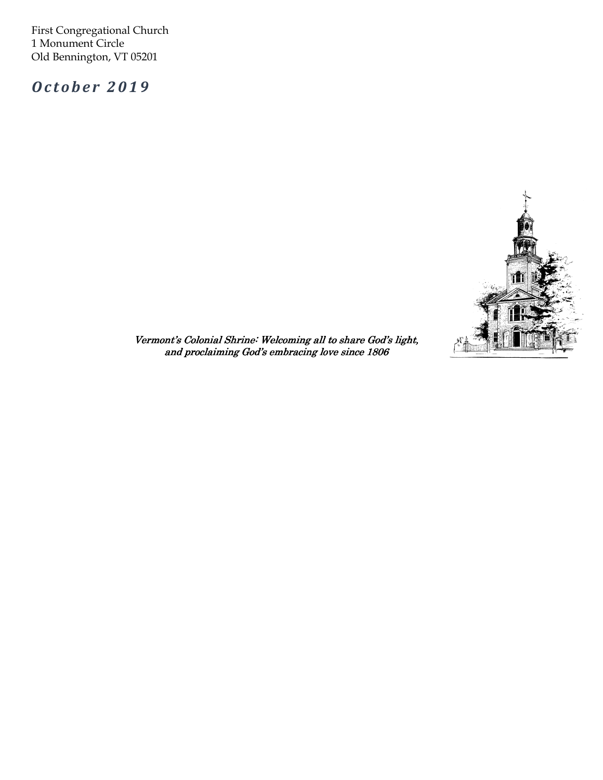First Congregational Church 1 Monument Circle Old Bennington, VT 05201

October 2019



 $\overline{a}$ Vermont's Colonial Shrine: Welcoming all to share God's light, and proclaiming God's embracing love since 1806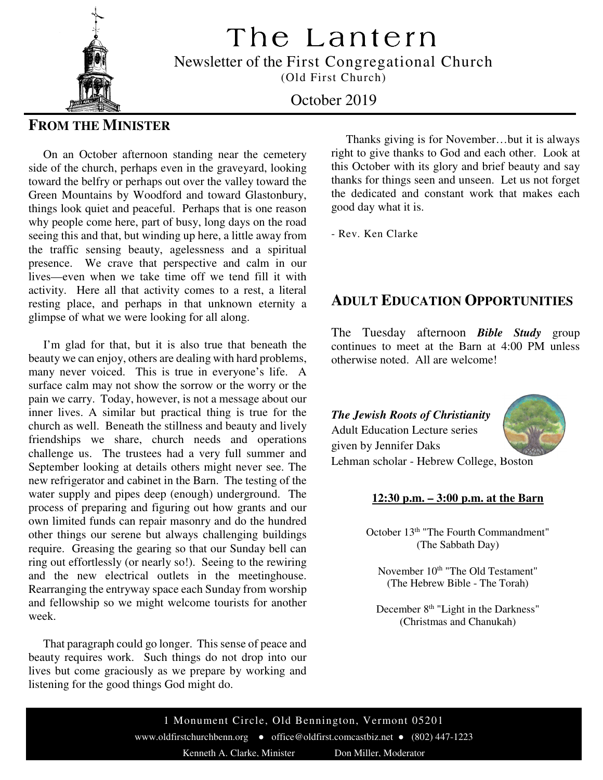The Lantern

Newsletter of the First Congregational Church

(Old First Church)



October 2019

## **FROM THE MINISTER**

 On an October afternoon standing near the cemetery side of the church, perhaps even in the graveyard, looking toward the belfry or perhaps out over the valley toward the Green Mountains by Woodford and toward Glastonbury, things look quiet and peaceful. Perhaps that is one reason why people come here, part of busy, long days on the road seeing this and that, but winding up here, a little away from the traffic sensing beauty, agelessness and a spiritual presence. We crave that perspective and calm in our lives—even when we take time off we tend fill it with activity. Here all that activity comes to a rest, a literal resting place, and perhaps in that unknown eternity a glimpse of what we were looking for all along.

 I'm glad for that, but it is also true that beneath the beauty we can enjoy, others are dealing with hard problems, many never voiced. This is true in everyone's life. A surface calm may not show the sorrow or the worry or the pain we carry. Today, however, is not a message about our inner lives. A similar but practical thing is true for the church as well. Beneath the stillness and beauty and lively friendships we share, church needs and operations challenge us. The trustees had a very full summer and September looking at details others might never see. The new refrigerator and cabinet in the Barn. The testing of the water supply and pipes deep (enough) underground. The process of preparing and figuring out how grants and our own limited funds can repair masonry and do the hundred other things our serene but always challenging buildings require. Greasing the gearing so that our Sunday bell can ring out effortlessly (or nearly so!). Seeing to the rewiring and the new electrical outlets in the meetinghouse. Rearranging the entryway space each Sunday from worship and fellowship so we might welcome tourists for another week.

 That paragraph could go longer. This sense of peace and beauty requires work. Such things do not drop into our lives but come graciously as we prepare by working and listening for the good things God might do.

 Thanks giving is for November…but it is always right to give thanks to God and each other. Look at this October with its glory and brief beauty and say thanks for things seen and unseen. Let us not forget the dedicated and constant work that makes each good day what it is.

- Rev. Ken Clarke

## **ADULT EDUCATION OPPORTUNITIES**

The Tuesday afternoon *Bible Study* group continues to meet at the Barn at 4:00 PM unless otherwise noted. All are welcome!

*The Jewish Roots of Christianity*  Adult Education Lecture series given by Jennifer Daks



Lehman scholar - Hebrew College, Boston

## **12:30 p.m. – 3:00 p.m. at the Barn**

October 13<sup>th</sup> "The Fourth Commandment" (The Sabbath Day)

November 10<sup>th</sup> "The Old Testament" (The Hebrew Bible - The Torah)

December 8<sup>th</sup> "Light in the Darkness" (Christmas and Chanukah)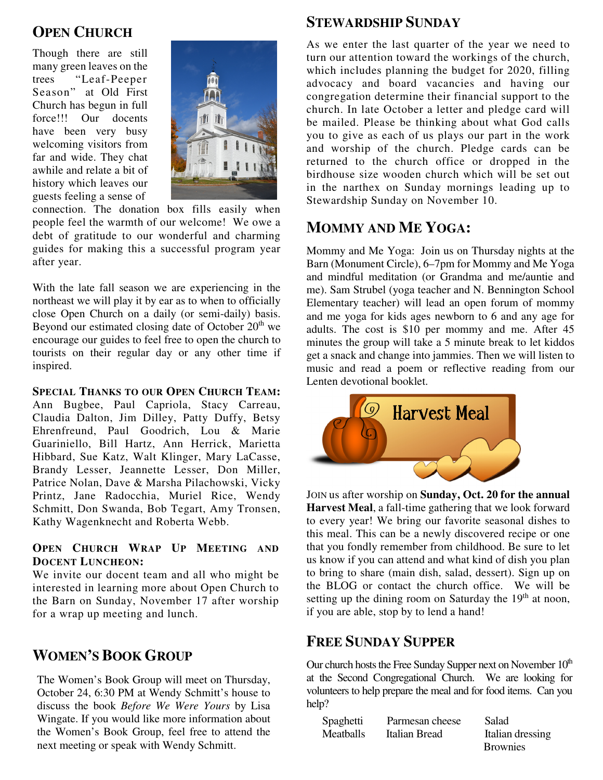## **OPEN CHURCH**

 Though there are still many green leaves on the trees "Leaf-Peeper Season" at Old First Church has begun in full force!!! Our docents have been very busy welcoming visitors from far and wide. They chat awhile and relate a bit of history which leaves our guests feeling a sense of



connection. The donation box fills easily when people feel the warmth of our welcome! We owe a debt of gratitude to our wonderful and charming guides for making this a successful program year after year.

With the late fall season we are experiencing in the northeast we will play it by ear as to when to officially close Open Church on a daily (or semi-daily) basis. Beyond our estimated closing date of October  $20<sup>th</sup>$  we encourage our guides to feel free to open the church to tourists on their regular day or any other time if inspired.

**SPECIAL THANKS TO OUR OPEN CHURCH TEAM:**

 Hibbard, Sue Katz, Walt Klinger, Mary LaCasse, Brandy Lesser, Jeannette Lesser, Don Miller, Ann Bugbee, Paul Capriola, Stacy Carreau, Claudia Dalton, Jim Dilley, Patty Duffy, Betsy Ehrenfreund, Paul Goodrich, Lou & Marie Guariniello, Bill Hartz, Ann Herrick, Marietta Patrice Nolan, Dave & Marsha Pilachowski, Vicky Printz, Jane Radocchia, Muriel Rice, Wendy Schmitt, Don Swanda, Bob Tegart, Amy Tronsen, Kathy Wagenknecht and Roberta Webb.

## **OPEN CHURCH WRAP UP MEETING AND DOCENT LUNCHEON:**

We invite our docent team and all who might be interested in learning more about Open Church to the Barn on Sunday, November 17 after worship for a wrap up meeting and lunch.

# **WOMEN'S BOOK GROUP**

The Women's Book Group will meet on Thursday, October 24, 6:30 PM at Wendy Schmitt's house to discuss the book *Before We Were Yours* by Lisa Wingate. If you would like more information about the Women's Book Group, feel free to attend the next meeting or speak with Wendy Schmitt.

## **STEWARDSHIP SUNDAY**

As we enter the last quarter of the year we need to turn our attention toward the workings of the church, which includes planning the budget for 2020, filling advocacy and board vacancies and having our congregation determine their financial support to the church. In late October a letter and pledge card will be mailed. Please be thinking about what God calls you to give as each of us plays our part in the work and worship of the church. Pledge cards can be returned to the church office or dropped in the birdhouse size wooden church which will be set out in the narthex on Sunday mornings leading up to Stewardship Sunday on November 10.

# **MOMMY AND ME YOGA:**

Mommy and Me Yoga: Join us on Thursday nights at the Barn (Monument Circle), 6–7pm for Mommy and Me Yoga and mindful meditation (or Grandma and me/auntie and me). Sam Strubel (yoga teacher and N. Bennington School Elementary teacher) will lead an open forum of mommy and me yoga for kids ages newborn to 6 and any age for adults. The cost is \$10 per mommy and me. After 45 minutes the group will take a 5 minute break to let kiddos get a snack and change into jammies. Then we will listen to music and read a poem or reflective reading from our Lenten devotional booklet.



 JOIN us after worship on **Sunday, Oct. 20 for the annual Harvest Meal**, a fall-time gathering that we look forward to every year! We bring our favorite seasonal dishes to this meal. This can be a newly discovered recipe or one that you fondly remember from childhood. Be sure to let us know if you can attend and what kind of dish you plan to bring to share (main dish, salad, dessert). Sign up on the BLOG or contact the church office. We will be setting up the dining room on Saturday the  $19<sup>th</sup>$  at noon, if you are able, stop by to lend a hand!

## **FREE SUNDAY SUPPER**

Our church hosts the Free Sunday Supper next on November  $10<sup>th</sup>$ at the Second Congregational Church. We are looking for volunteers to help prepare the meal and for food items. Can you help?

| Spaghetti | Parmesan cheese | Salad            |  |
|-----------|-----------------|------------------|--|
| Meatballs | Italian Bread   | Italian dressing |  |
|           |                 | <b>Brownies</b>  |  |